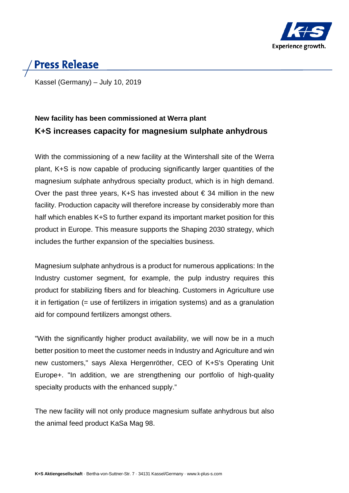

# **Press Release**

Kassel (Germany) – July 10, 2019

## **New facility has been commissioned at Werra plant K+S increases capacity for magnesium sulphate anhydrous**

With the commissioning of a new facility at the Wintershall site of the Werra plant, K+S is now capable of producing significantly larger quantities of the magnesium sulphate anhydrous specialty product, which is in high demand. Over the past three years, K+S has invested about  $\epsilon$  34 million in the new facility. Production capacity will therefore increase by considerably more than half which enables K+S to further expand its important market position for this product in Europe. This measure supports the Shaping 2030 strategy, which includes the further expansion of the specialties business.

Magnesium sulphate anhydrous is a product for numerous applications: In the Industry customer segment, for example, the pulp industry requires this product for stabilizing fibers and for bleaching. Customers in Agriculture use it in fertigation (= use of fertilizers in irrigation systems) and as a granulation aid for compound fertilizers amongst others.

"With the significantly higher product availability, we will now be in a much better position to meet the customer needs in Industry and Agriculture and win new customers," says Alexa Hergenröther, CEO of K+S's Operating Unit Europe+. "In addition, we are strengthening our portfolio of high-quality specialty products with the enhanced supply."

The new facility will not only produce magnesium sulfate anhydrous but also the animal feed product KaSa Mag 98.